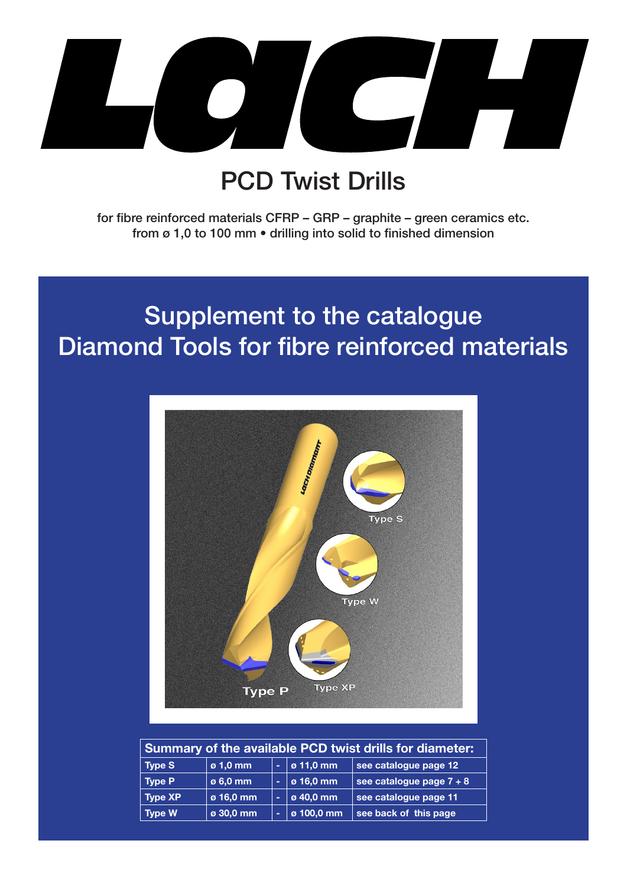

## PCD Twist Drills

for fibre reinforced materials CFRP – GRP – graphite – green ceramics etc. from ø 1,0 to 100 mm • drilling into solid to finished dimension

## Supplement to the catalogue Diamond Tools for fibre reinforced materials



| Summary of the available PCD twist drills for diameter: |                 |        |            |                          |  |  |  |  |  |
|---------------------------------------------------------|-----------------|--------|------------|--------------------------|--|--|--|--|--|
| <b>Type S</b>                                           | $\sigma$ 1,0 mm | $\sim$ | ø 11,0 mm  | see catalogue page 12    |  |  |  |  |  |
| <b>Type P</b>                                           | ø 6,0 mm        | ۰      | ø 16,0 mm  | see catalogue page 7 + 8 |  |  |  |  |  |
| <b>Type XP</b>                                          | ø 16,0 mm       | ÷      | ø 40,0 mm  | see catalogue page 11    |  |  |  |  |  |
| <b>Type W</b>                                           | ø 30,0 mm       | ۰      | ø 100,0 mm | see back of this page    |  |  |  |  |  |

Seite 1 With LACH DIAMANT you are always one step ahead